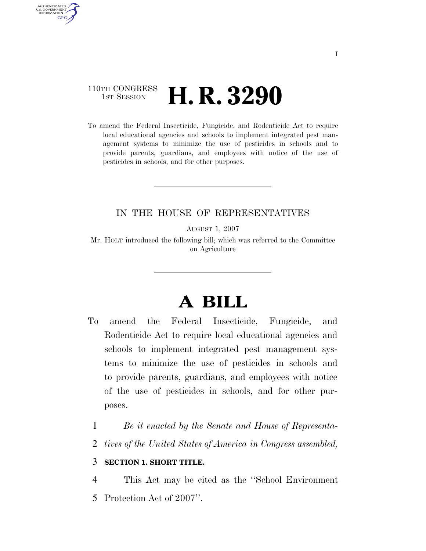## 110TH CONGRESS **1st Session H. R. 3290**

AUTHENTICATED U.S. GOVERNMENT **GPO** 

> To amend the Federal Insecticide, Fungicide, and Rodenticide Act to require local educational agencies and schools to implement integrated pest management systems to minimize the use of pesticides in schools and to provide parents, guardians, and employees with notice of the use of pesticides in schools, and for other purposes.

#### IN THE HOUSE OF REPRESENTATIVES

AUGUST 1, 2007

Mr. HOLT introduced the following bill; which was referred to the Committee on Agriculture

# **A BILL**

To amend the Federal Insecticide, Fungicide, and Rodenticide Act to require local educational agencies and schools to implement integrated pest management systems to minimize the use of pesticides in schools and to provide parents, guardians, and employees with notice of the use of pesticides in schools, and for other purposes.

1 *Be it enacted by the Senate and House of Representa-*

2 *tives of the United States of America in Congress assembled,* 

#### 3 **SECTION 1. SHORT TITLE.**

4 This Act may be cited as the ''School Environment 5 Protection Act of 2007''.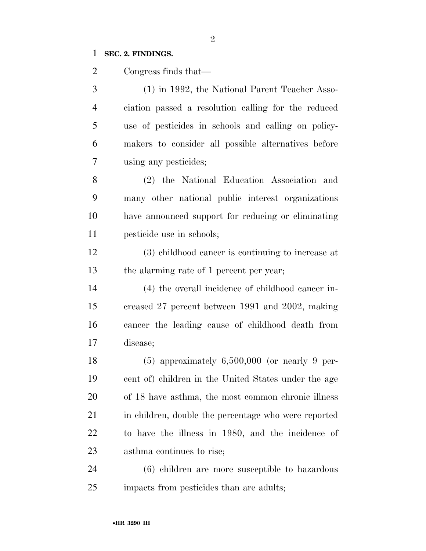#### **SEC. 2. FINDINGS.**

Congress finds that—

 (1) in 1992, the National Parent Teacher Asso- ciation passed a resolution calling for the reduced use of pesticides in schools and calling on policy- makers to consider all possible alternatives before using any pesticides; (2) the National Education Association and many other national public interest organizations have announced support for reducing or eliminating pesticide use in schools; (3) childhood cancer is continuing to increase at the alarming rate of 1 percent per year; (4) the overall incidence of childhood cancer in- creased 27 percent between 1991 and 2002, making cancer the leading cause of childhood death from disease; (5) approximately 6,500,000 (or nearly 9 per- cent of) children in the United States under the age of 18 have asthma, the most common chronic illness 21 in children, double the percentage who were reported to have the illness in 1980, and the incidence of asthma continues to rise; (6) children are more susceptible to hazardous

impacts from pesticides than are adults;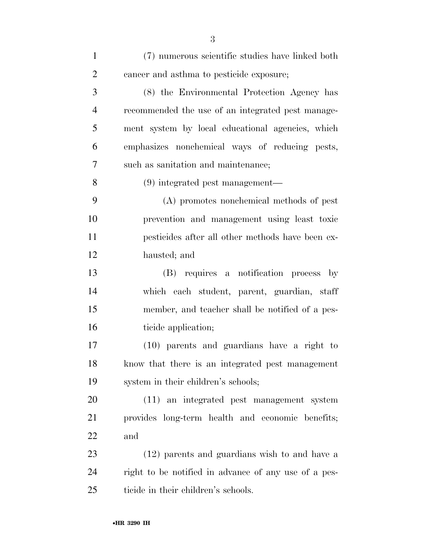| $\mathbf{1}$   | (7) numerous scientific studies have linked both     |
|----------------|------------------------------------------------------|
| $\overline{2}$ | cancer and asthma to pesticide exposure;             |
| 3              | (8) the Environmental Protection Agency has          |
| $\overline{4}$ | recommended the use of an integrated pest manage-    |
| 5              | ment system by local educational agencies, which     |
| 6              | emphasizes nonchemical ways of reducing pests,       |
| 7              | such as sanitation and maintenance;                  |
| 8              | $(9)$ integrated pest management—                    |
| 9              | (A) promotes nonchemical methods of pest             |
| 10             | prevention and management using least toxic          |
| 11             | pesticides after all other methods have been ex-     |
| 12             | hausted; and                                         |
| 13             | (B) requires a notification process by               |
| 14             | which each student, parent, guardian, staff          |
| 15             | member, and teacher shall be notified of a pes-      |
| 16             | ticide application;                                  |
| 17             | (10) parents and guardians have a right to           |
| 18             | know that there is an integrated pest management     |
| 19             | system in their children's schools;                  |
| 20             | (11) an integrated pest management system            |
| 21             | provides long-term health and economic benefits;     |
| 22             | and                                                  |
| 23             | (12) parents and guardians wish to and have a        |
| 24             | right to be notified in advance of any use of a pes- |
| 25             | ticide in their children's schools.                  |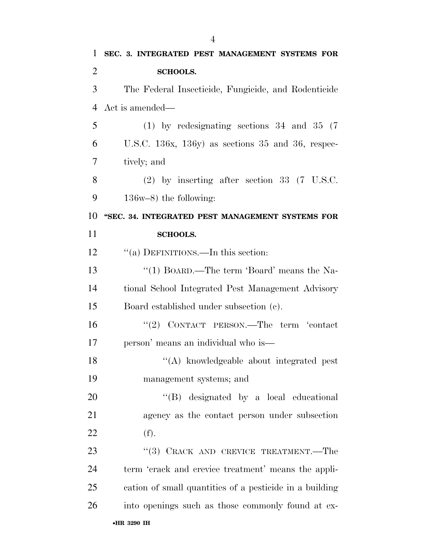| 1              | SEC. 3. INTEGRATED PEST MANAGEMENT SYSTEMS FOR          |
|----------------|---------------------------------------------------------|
| $\overline{2}$ | <b>SCHOOLS.</b>                                         |
| 3              | The Federal Insecticide, Fungicide, and Rodenticide     |
| $\overline{4}$ | Act is amended—                                         |
| 5              | $(1)$ by redesignating sections 34 and 35 (7)           |
| 6              | U.S.C. $136x$ , $136y$ as sections 35 and 36, respec-   |
| 7              | tively; and                                             |
| 8              | $(2)$ by inserting after section 33 (7 U.S.C.           |
| 9              | $136w-8$ ) the following:                               |
| 10             | "SEC. 34. INTEGRATED PEST MANAGEMENT SYSTEMS FOR        |
| 11             | <b>SCHOOLS.</b>                                         |
| 12             | "(a) DEFINITIONS.—In this section:                      |
| 13             | "(1) BOARD.—The term 'Board' means the Na-              |
| 14             | tional School Integrated Pest Management Advisory       |
| 15             | Board established under subsection (c).                 |
| 16             | "(2) CONTACT PERSON.—The term 'contact                  |
| 17             | person' means an individual who is—                     |
| 18             | "(A) knowledgeable about integrated pest                |
| 19             | management systems; and                                 |
| 20             | "(B) designated by a local educational                  |
| 21             | agency as the contact person under subsection           |
| 22             | (f).                                                    |
| 23             | "(3) CRACK AND CREVICE TREATMENT.—The                   |
| 24             | term 'crack and crevice treatment' means the appli-     |
| 25             | cation of small quantities of a pesticide in a building |
| 26             | into openings such as those commonly found at ex-       |
|                |                                                         |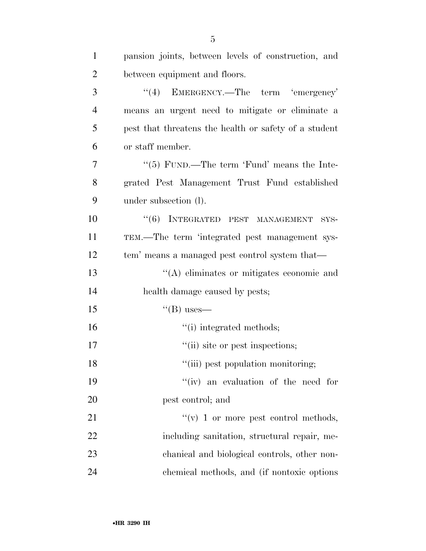| $\mathbf{1}$   | pansion joints, between levels of construction, and   |
|----------------|-------------------------------------------------------|
| 2              | between equipment and floors.                         |
| 3              | $\cdot$ (4) EMERGENCY.—The term 'emergency'           |
| $\overline{4}$ | means an urgent need to mitigate or eliminate a       |
| 5              | pest that threatens the health or safety of a student |
| 6              | or staff member.                                      |
| 7              | " $(5)$ FUND.—The term 'Fund' means the Inte-         |
| 8              | grated Pest Management Trust Fund established         |
| 9              | under subsection (1).                                 |
| 10             | "(6) INTEGRATED PEST MANAGEMENT<br>S <sub>YS</sub>    |
| 11             | TEM.—The term 'integrated pest management sys-        |
| 12             | tem' means a managed pest control system that—        |
| 13             | $\lq\lq$ eliminates or mitigates economic and         |
| 14             | health damage caused by pests;                        |
| 15             | $\lq\lq(B)$ uses—                                     |
| 16             | "(i) integrated methods;                              |
| 17             | "(ii) site or pest inspections;                       |
| 18             | "(iii) pest population monitoring;                    |
| 19             | "(iv) an evaluation of the need for                   |
| <b>20</b>      | pest control; and                                     |
| 21             | $\lq\lq$ (v) 1 or more pest control methods,          |
| 22             | including sanitation, structural repair, me-          |
| 23             | chanical and biological controls, other non-          |
| 24             | chemical methods, and (if nontoxic options)           |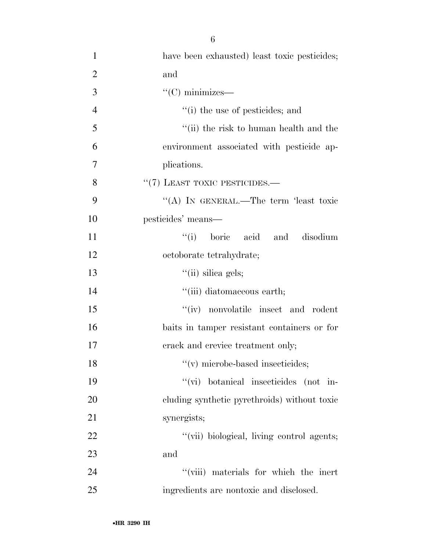| $\mathbf{1}$   | have been exhausted) least toxic pesticides; |
|----------------|----------------------------------------------|
| $\overline{2}$ | and                                          |
| 3              | $\lq\lq$ (C) minimizes—                      |
| $\overline{4}$ | "(i) the use of pesticides; and              |
| 5              | "(ii) the risk to human health and the       |
| 6              | environment associated with pesticide ap-    |
| 7              | plications.                                  |
| 8              | "(7) LEAST TOXIC PESTICIDES.—                |
| 9              | "(A) IN GENERAL.—The term 'least toxic       |
| 10             | pesticides' means—                           |
| 11             | "(i) boric acid and disodium                 |
| 12             | octoborate tetrahydrate;                     |
| 13             | $\lq(ii)$ silica gels;                       |
| 14             | "(iii) diatomaceous earth;                   |
| 15             | "(iv) nonvolatile insect and rodent          |
| 16             | baits in tamper resistant containers or for  |
| 17             | erack and crevice treatment only;            |
| 18             | $\lq($ v $\rq$ microbe-based insecticides;   |
| 19             | "(vi) botanical insecticides (not in-        |
| 20             | cluding synthetic pyrethroids) without toxic |
| 21             | synergists;                                  |
| 22             | "(vii) biological, living control agents;    |
| 23             | and                                          |
| 24             | "(viii) materials for which the inert        |
| 25             | ingredients are nontoxic and disclosed.      |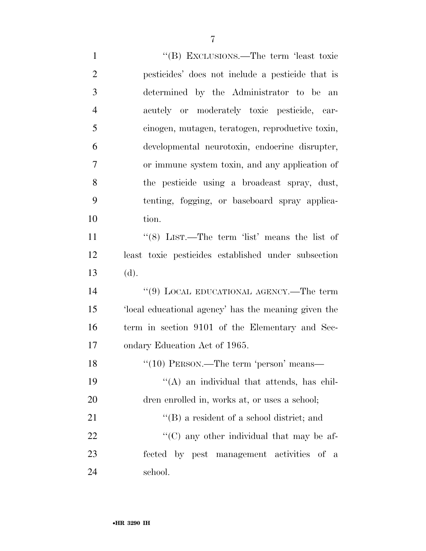| $\mathbf{1}$   | "(B) EXCLUSIONS.—The term 'least toxic              |
|----------------|-----------------------------------------------------|
| $\overline{2}$ | pesticides' does not include a pesticide that is    |
| 3              | determined by the Administrator to be an            |
| $\overline{4}$ | acutely or moderately toxic pesticide, car-         |
| 5              | cinogen, mutagen, teratogen, reproductive toxin,    |
| 6              | developmental neurotoxin, endocrine disrupter,      |
| $\overline{7}$ | or immune system toxin, and any application of      |
| 8              | the pesticide using a broadcast spray, dust,        |
| 9              | tenting, fogging, or baseboard spray applica-       |
| 10             | tion.                                               |
| 11             | "(8) LIST.—The term 'list' means the list of        |
| 12             | least toxic pesticides established under subsection |
| 13             | (d).                                                |
| 14             | "(9) LOCAL EDUCATIONAL AGENCY.—The term             |
| 15             | local educational agency' has the meaning given the |
| 16             | term in section 9101 of the Elementary and Sec-     |
| 17             | ondary Education Act of 1965.                       |
| 18             | $\lq(10)$ PERSON.—The term 'person' means—          |
| 19             | $\lq\lq$ an individual that attends, has chil-      |
| 20             | dren enrolled in, works at, or uses a school;       |
| 21             | $\lq\lq (B)$ a resident of a school district; and   |
| 22             | $\lq\lq$ (C) any other individual that may be af-   |
| 23             | fected by pest management activities of a           |
| 24             | school.                                             |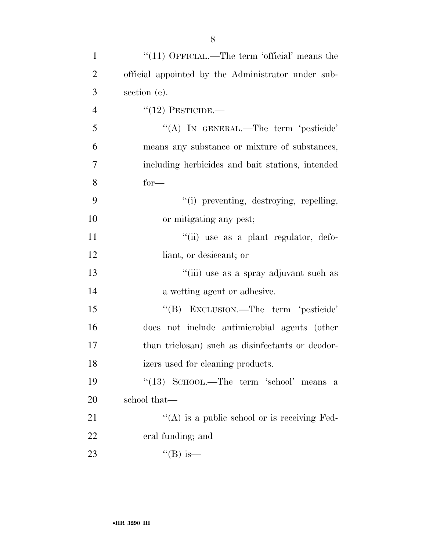| $\mathbf{1}$   | "(11) OFFICIAL.—The term 'official' means the      |
|----------------|----------------------------------------------------|
| $\overline{2}$ | official appointed by the Administrator under sub- |
| 3              | section (e).                                       |
| $\overline{4}$ | $\lq(12)$ PESTICIDE.—                              |
| 5              | "(A) IN GENERAL.—The term 'pesticide'              |
| 6              | means any substance or mixture of substances,      |
| 7              | including herbicides and bait stations, intended   |
| 8              | $for-$                                             |
| 9              | "(i) preventing, destroying, repelling,            |
| 10             | or mitigating any pest;                            |
| 11             | "(ii) use as a plant regulator, defo-              |
| 12             | liant, or desiceant; or                            |
| 13             | "(iii) use as a spray adjuvant such as             |
| 14             | a wetting agent or adhesive.                       |
| 15             | "(B) EXCLUSION.—The term 'pesticide'               |
| 16             | does not include antimicrobial agents (other       |
| 17             | than triclosan) such as disinfectants or deodor-   |
| 18             | izers used for cleaning products.                  |
| 19             | "(13) SCHOOL.—The term 'school' means a            |
| 20             | school that—                                       |
| 21             | "(A) is a public school or is receiving Fed-       |
| 22             | eral funding; and                                  |
| 23             | "(B) is—                                           |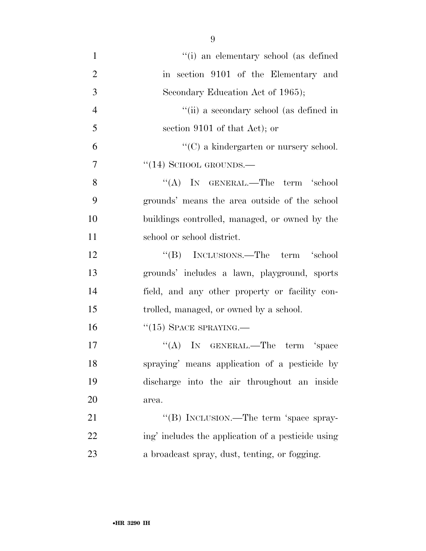| $\mathbf{1}$   | "(i) an elementary school (as defined              |
|----------------|----------------------------------------------------|
| $\overline{2}$ | in section 9101 of the Elementary and              |
| 3              | Secondary Education Act of 1965);                  |
| $\overline{4}$ | "(ii) a secondary school (as defined in            |
| 5              | section $9101$ of that Act); or                    |
| 6              | $\lq\lq$ a kindergarten or nursery school.         |
| 7              | $``(14)$ SCHOOL GROUNDS.—                          |
| 8              | "(A) IN GENERAL.—The term 'school                  |
| 9              | grounds' means the area outside of the school      |
| 10             | buildings controlled, managed, or owned by the     |
| 11             | school or school district.                         |
| 12             | "(B) INCLUSIONS.—The term 'school                  |
| 13             | grounds' includes a lawn, playground, sports       |
| 14             | field, and any other property or facility con-     |
| 15             | trolled, managed, or owned by a school.            |
| 16             | $``(15)$ SPACE SPRAYING.—                          |
| 17             | "(A) IN GENERAL.—The term 'space                   |
| 18             | spraying' means application of a pesticide by      |
| 19             | discharge into the air throughout an inside        |
| 20             | area.                                              |
| 21             | "(B) INCLUSION.—The term 'space spray-             |
| 22             | ing' includes the application of a pesticide using |
| 23             | a broadcast spray, dust, tenting, or fogging.      |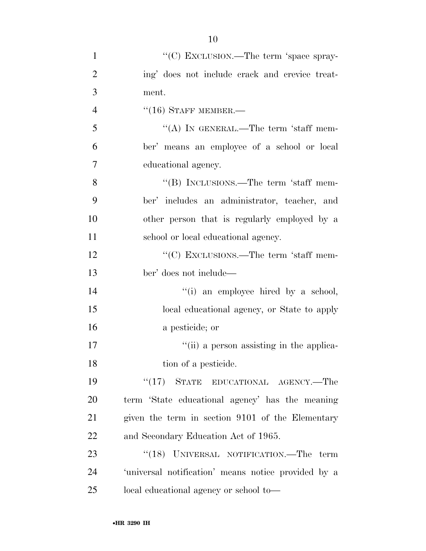| $\mathbf{1}$   | "(C) EXCLUSION.—The term 'space spray-              |
|----------------|-----------------------------------------------------|
| $\overline{2}$ | ing' does not include crack and crevice treat-      |
| 3              | ment.                                               |
| $\overline{4}$ | $``(16)$ STAFF MEMBER.—                             |
| 5              | "(A) IN GENERAL.—The term 'staff mem-               |
| 6              | ber' means an employee of a school or local         |
| 7              | educational agency.                                 |
| 8              | "(B) INCLUSIONS.—The term 'staff mem-               |
| 9              | ber' includes an administrator, teacher, and        |
| 10             | other person that is regularly employed by a        |
| 11             | school or local educational agency.                 |
| 12             | $\lq\lq C)$ EXCLUSIONS.—The term 'staff mem-        |
| 13             | ber' does not include—                              |
| 14             | "(i) an employee hired by a school,                 |
| 15             | local educational agency, or State to apply         |
| 16             | a pesticide; or                                     |
| 17             | "(ii) a person assisting in the applica-            |
| 18             | tion of a pesticide.                                |
| 19             | "(17) STATE EDUCATIONAL AGENCY.—The                 |
| 20             | term 'State educational agency' has the meaning     |
| 21             | given the term in section 9101 of the Elementary    |
| 22             | and Secondary Education Act of 1965.                |
| 23             | "(18) UNIVERSAL NOTIFICATION.—The term              |
| 24             | 'universal notification' means notice provided by a |
| 25             | local educational agency or school to-              |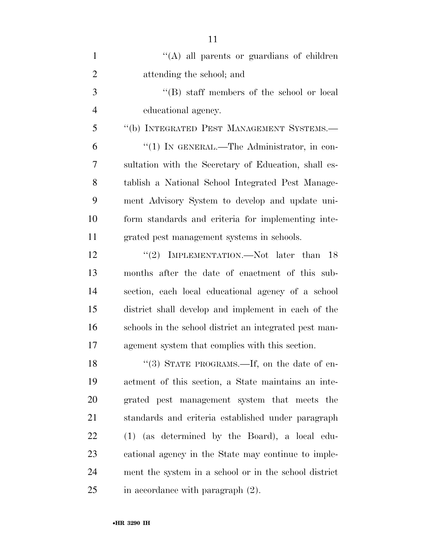| $\mathbf{1}$   | $\lq\lq(A)$ all parents or guardians of children       |
|----------------|--------------------------------------------------------|
| $\overline{2}$ | attending the school; and                              |
| 3              | "(B) staff members of the school or local"             |
| $\overline{4}$ | educational agency.                                    |
| 5              | "(b) INTEGRATED PEST MANAGEMENT SYSTEMS.-              |
| 6              | " $(1)$ IN GENERAL.—The Administrator, in con-         |
| 7              | sultation with the Secretary of Education, shall es-   |
| 8              | tablish a National School Integrated Pest Manage-      |
| 9              | ment Advisory System to develop and update uni-        |
| 10             | form standards and criteria for implementing inte-     |
| 11             | grated pest management systems in schools.             |
| 12             | "(2) IMPLEMENTATION.—Not later than<br>- 18            |
| 13             | months after the date of enactment of this sub-        |
| 14             | section, each local educational agency of a school     |
| 15             | district shall develop and implement in each of the    |
| 16             | schools in the school district an integrated pest man- |
| 17             | agement system that complies with this section.        |
| 18             | "(3) STATE PROGRAMS.—If, on the date of en-            |
| 19             | actment of this section, a State maintains an inte-    |
| 20             | grated pest management system that meets the           |
| 21             | standards and criteria established under paragraph     |
| 22             | (1) (as determined by the Board), a local edu-         |
| 23             | cational agency in the State may continue to imple-    |
| 24             | ment the system in a school or in the school district  |
| 25             | in accordance with paragraph $(2)$ .                   |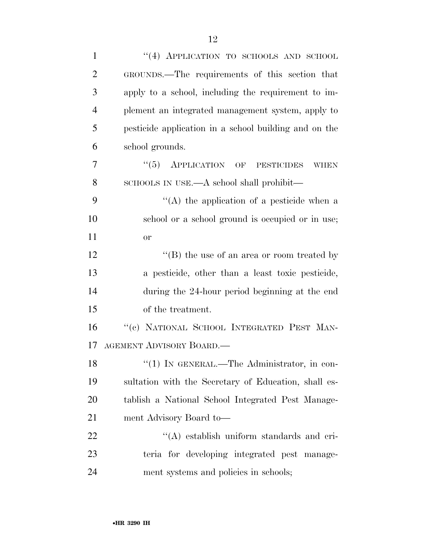| $\mathbf{1}$   | "(4) APPLICATION TO SCHOOLS AND SCHOOL                    |
|----------------|-----------------------------------------------------------|
| $\overline{2}$ | GROUNDS.—The requirements of this section that            |
| 3              | apply to a school, including the requirement to im-       |
| $\overline{4}$ | plement an integrated management system, apply to         |
| 5              | pesticide application in a school building and on the     |
| 6              | school grounds.                                           |
| 7              | $\cdot\cdot$ (5) APPLICATION OF PESTICIDES<br><b>WHEN</b> |
| 8              | SCHOOLS IN USE.—A school shall prohibit—                  |
| 9              | "(A) the application of a pesticide when a                |
| 10             | school or a school ground is occupied or in use;          |
| 11             | or                                                        |
| 12             | "(B) the use of an area or room treated by                |
| 13             | a pesticide, other than a least toxic pesticide,          |
| 14             | during the 24-hour period beginning at the end            |
| 15             | of the treatment.                                         |
| 16             | "(c) NATIONAL SCHOOL INTEGRATED PEST MAN-                 |
| 17             | AGEMENT ADVISORY BOARD.                                   |
| 18             | $\lq(1)$ IN GENERAL.—The Administrator, in con-           |
| 19             | sultation with the Secretary of Education, shall es-      |
| 20             | tablish a National School Integrated Pest Manage-         |
| 21             | ment Advisory Board to-                                   |
| 22             | $\lq\lq$ establish uniform standards and cri-             |
| 23             | teria for developing integrated pest manage-              |
| 24             | ment systems and policies in schools;                     |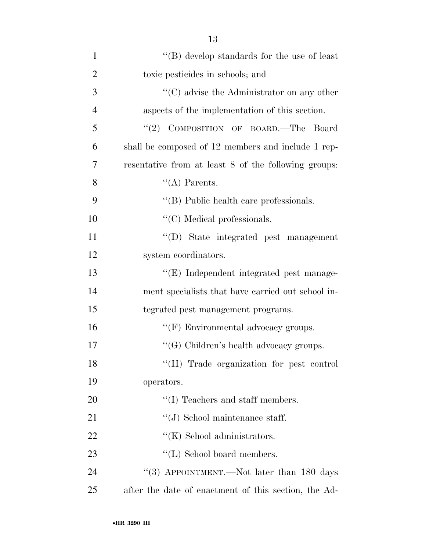| $\mathbf{1}$   | "(B) develop standards for the use of least          |
|----------------|------------------------------------------------------|
| $\overline{2}$ | toxic pesticides in schools; and                     |
| 3              | $\lq\lq$ (C) advise the Administrator on any other   |
| $\overline{4}$ | aspects of the implementation of this section.       |
| 5              | "(2) COMPOSITION OF BOARD.—The Board                 |
| 6              | shall be composed of 12 members and include 1 rep-   |
| 7              | resentative from at least 8 of the following groups: |
| 8              | $\lq\lq$ Parents.                                    |
| 9              | "(B) Public health care professionals.               |
| 10             | $\lq\lq$ (C) Medical professionals.                  |
| 11             | "(D) State integrated pest management                |
| 12             | system coordinators.                                 |
| 13             | "(E) Independent integrated pest manage-             |
| 14             | ment specialists that have carried out school in-    |
| 15             | tegrated pest management programs.                   |
| 16             | "(F) Environmental advocacy groups.                  |
| 17             | " $(G)$ Children's health advocacy groups.           |
| 18             | "(H) Trade organization for pest control             |
| 19             | operators.                                           |
| 20             | $\lq\lq$ (I) Teachers and staff members.             |
| 21             | $\lq\lq(J)$ School maintenance staff.                |
| 22             | $\lq\lq(K)$ School administrators.                   |
| 23             | $\lq\lq$ (L) School board members.                   |
| 24             | "(3) APPOINTMENT.—Not later than 180 days            |
| 25             | after the date of enactment of this section, the Ad- |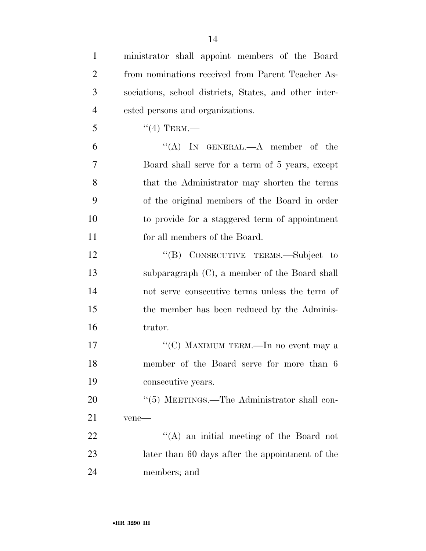| $\mathbf{1}$   | ministrator shall appoint members of the Board         |
|----------------|--------------------------------------------------------|
| $\overline{2}$ | from nominations received from Parent Teacher As-      |
| 3              | sociations, school districts, States, and other inter- |
| $\overline{4}$ | ested persons and organizations.                       |
| 5              | $``(4)$ TERM.—                                         |
| 6              | "(A) IN GENERAL.— $A$ member of the                    |
| $\overline{7}$ | Board shall serve for a term of 5 years, except        |
| 8              | that the Administrator may shorten the terms           |
| 9              | of the original members of the Board in order          |
| 10             | to provide for a staggered term of appointment         |
| 11             | for all members of the Board.                          |
| 12             | "(B) CONSECUTIVE TERMS.—Subject to                     |
| 13             | subparagraph $(C)$ , a member of the Board shall       |
| 14             | not serve consecutive terms unless the term of         |
| 15             | the member has been reduced by the Adminis-            |
| 16             | trator.                                                |
| 17             | "(C) MAXIMUM TERM.—In no event may a                   |
| 18             | member of the Board serve for more than 6              |
| 19             | consecutive years.                                     |
| 20             | "(5) MEETINGS.—The Administrator shall con-            |
| 21             | vene-                                                  |
| 22             | $\lq\lq$ an initial meeting of the Board not           |
| 23             | later than 60 days after the appointment of the        |
| 24             | members; and                                           |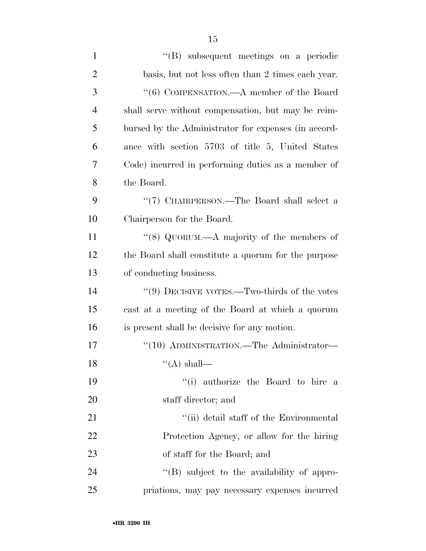''(B) subsequent meetings on a periodic basis, but not less often than 2 times each year. ''(6) COMPENSATION.—A member of the Board shall serve without compensation, but may be reim- bursed by the Administrator for expenses (in accord- ance with section 5703 of title 5, United States Code) incurred in performing duties as a member of the Board. 9 "(7) CHAIRPERSON.—The Board shall select a Chairperson for the Board. 11 ''(8) QUORUM.—A majority of the members of the Board shall constitute a quorum for the purpose of conducting business. 14 ''(9) DECISIVE VOTES.—Two-thirds of the votes cast at a meeting of the Board at which a quorum is present shall be decisive for any motion. 17 "(10) ADMINISTRATION.—The Administrator—  $"({\rm A})$  shall— ''(i) authorize the Board to hire a

21 ''(ii) detail staff of the Environmental Protection Agency, or allow for the hiring of staff for the Board; and

24 "(B) subject to the availability of appro-priations, may pay necessary expenses incurred

staff director; and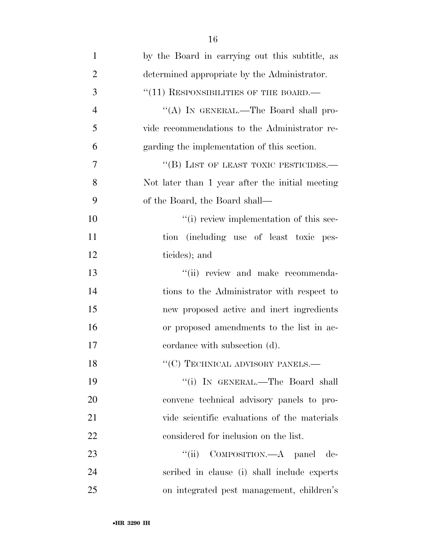| $\mathbf{1}$   | by the Board in carrying out this subtitle, as  |
|----------------|-------------------------------------------------|
| $\overline{2}$ | determined appropriate by the Administrator.    |
| 3              | $``(11)$ RESPONSIBILITIES OF THE BOARD.—        |
| $\overline{4}$ | "(A) IN GENERAL.—The Board shall pro-           |
| 5              | vide recommendations to the Administrator re-   |
| 6              | garding the implementation of this section.     |
| 7              | "(B) LIST OF LEAST TOXIC PESTICIDES.—           |
| 8              | Not later than 1 year after the initial meeting |
| 9              | of the Board, the Board shall—                  |
| 10             | "(i) review implementation of this sec-         |
| 11             | tion (including use of least toxic pes-         |
| 12             | ticides); and                                   |
| 13             | "(ii) review and make recommenda-               |
| 14             | tions to the Administrator with respect to      |
| 15             | new proposed active and inert ingredients       |
| 16             | or proposed amendments to the list in ac-       |
| 17             | cordance with subsection (d).                   |
| 18             | "(C) TECHNICAL ADVISORY PANELS.—                |
| 19             | "(i) IN GENERAL.-The Board shall                |
| 20             | convene technical advisory panels to pro-       |
| 21             | vide scientific evaluations of the materials    |
| 22             | considered for inclusion on the list.           |
| 23             | "(ii) COMPOSITION.—A panel de-                  |
| 24             | scribed in clause (i) shall include experts     |
| 25             | on integrated pest management, children's       |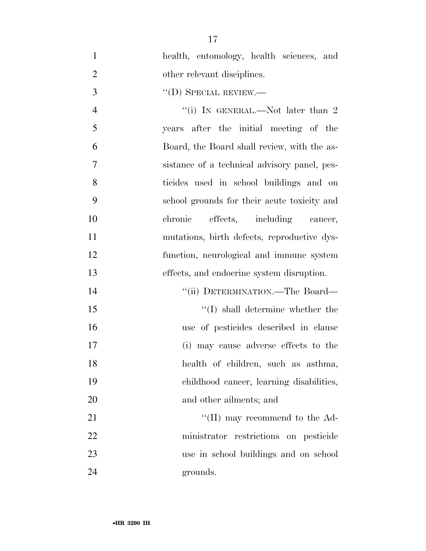health, entomology, health sciences, and 2 other relevant disciplines.

''(D) SPECIAL REVIEW.—

4 "(i) IN GENERAL.—Not later than 2 years after the initial meeting of the Board, the Board shall review, with the as- sistance of a technical advisory panel, pes- ticides used in school buildings and on school grounds for their acute toxicity and chronic effects, including cancer, mutations, birth defects, reproductive dys- function, neurological and immune system effects, and endocrine system disruption.

14 ''(ii) DETERMINATION.—The Board— 15 ''(I) shall determine whether the use of pesticides described in clause (i) may cause adverse effects to the health of children, such as asthma, childhood cancer, learning disabilities, and other ailments; and

21 ''(II) may recommend to the Ad- ministrator restrictions on pesticide use in school buildings and on school grounds.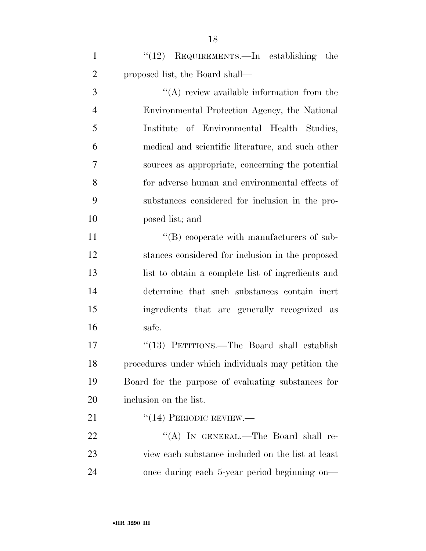|   | " $(12)$ REQUIREMENTS.—In establishing the |  |
|---|--------------------------------------------|--|
| 2 | proposed list, the Board shall—            |  |

3 ''(A) review available information from the Environmental Protection Agency, the National Institute of Environmental Health Studies, medical and scientific literature, and such other sources as appropriate, concerning the potential for adverse human and environmental effects of substances considered for inclusion in the pro-posed list; and

 $''(B)$  cooperate with manufacturers of sub- stances considered for inclusion in the proposed list to obtain a complete list of ingredients and determine that such substances contain inert ingredients that are generally recognized as safe.

 ''(13) PETITIONS.—The Board shall establish procedures under which individuals may petition the Board for the purpose of evaluating substances for inclusion on the list.

21 "(14) PERIODIC REVIEW.—

22 ""(A) In GENERAL.—The Board shall re- view each substance included on the list at least once during each 5-year period beginning on—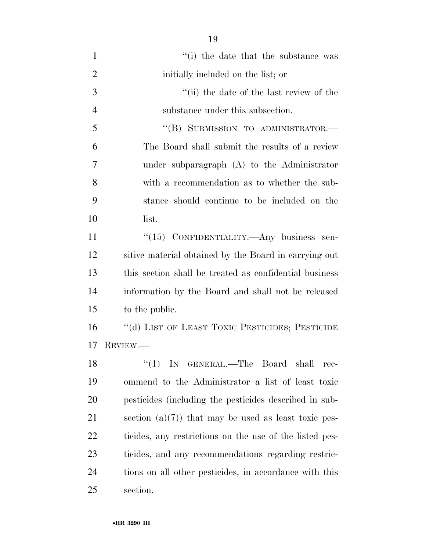| $\mathbf{1}$   | "(i) the date that the substance was                    |
|----------------|---------------------------------------------------------|
| $\overline{2}$ | initially included on the list; or                      |
| 3              | "(ii) the date of the last review of the                |
| $\overline{4}$ | substance under this subsection.                        |
| 5              | "(B) SUBMISSION TO ADMINISTRATOR.-                      |
| 6              | The Board shall submit the results of a review          |
| 7              | under subparagraph (A) to the Administrator             |
| 8              | with a recommendation as to whether the sub-            |
| 9              | stance should continue to be included on the            |
| 10             | list.                                                   |
| 11             | "(15) CONFIDENTIALITY.—Any business sen-                |
| 12             | sitive material obtained by the Board in carrying out   |
| 13             | this section shall be treated as confidential business  |
| 14             | information by the Board and shall not be released      |
| 15             | to the public.                                          |
| 16             | "(d) LIST OF LEAST TOXIC PESTICIDES; PESTICIDE          |
| 17             | REVIEW.                                                 |
| 18             | "(1) IN GENERAL.—The Board shall<br>rec-                |
| 19             | ommend to the Administrator a list of least toxic       |
| 20             | pesticides (including the pesticides described in sub-  |
| 21             | section $(a)(7)$ that may be used as least toxic pes-   |
| 22             | ticides, any restrictions on the use of the listed pes- |
| 23             | ticides, and any recommendations regarding restric-     |
| 24             | tions on all other pesticides, in accordance with this  |
| 25             | section.                                                |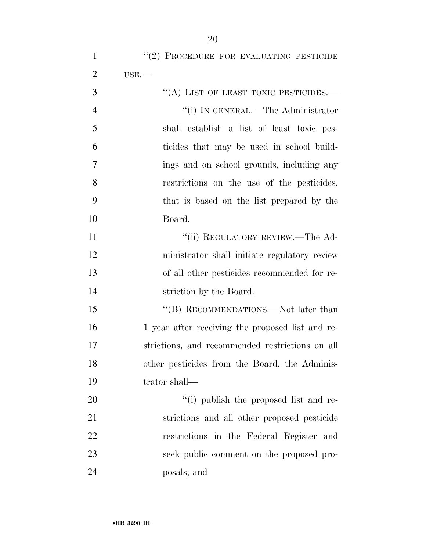| $\mathbf{1}$   | $``(2)$ PROCEDURE FOR EVALUATING PESTICIDE       |
|----------------|--------------------------------------------------|
| $\overline{2}$ | USE.                                             |
| 3              | "(A) LIST OF LEAST TOXIC PESTICIDES.—            |
| $\overline{4}$ | "(i) IN GENERAL.—The Administrator               |
| 5              | shall establish a list of least toxic pes-       |
| 6              | ticides that may be used in school build-        |
| 7              | ings and on school grounds, including any        |
| 8              | restrictions on the use of the pesticides,       |
| 9              | that is based on the list prepared by the        |
| 10             | Board.                                           |
| 11             | "(ii) REGULATORY REVIEW.—The Ad-                 |
| 12             | ministrator shall initiate regulatory review     |
| 13             | of all other pesticides recommended for re-      |
| 14             | striction by the Board.                          |
| 15             | "(B) RECOMMENDATIONS.—Not later than             |
| 16             | 1 year after receiving the proposed list and re- |
| 17             | strictions, and recommended restrictions on all  |
| 18             | other pesticides from the Board, the Adminis-    |
| 19             | trator shall—                                    |
| 20             | "(i) publish the proposed list and re-           |
| 21             | strictions and all other proposed pesticide      |
| 22             | restrictions in the Federal Register and         |
| 23             | seek public comment on the proposed pro-         |
| 24             | posals; and                                      |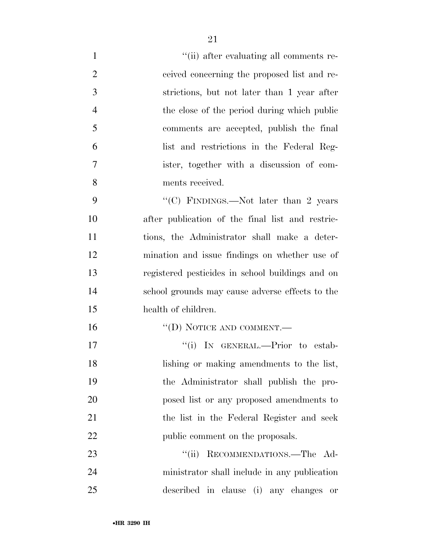| $\mathbf{1}$   | "(ii) after evaluating all comments re-          |
|----------------|--------------------------------------------------|
| $\overline{2}$ | ceived concerning the proposed list and re-      |
| 3              | strictions, but not later than 1 year after      |
| $\overline{4}$ | the close of the period during which public      |
| 5              | comments are accepted, publish the final         |
| 6              | list and restrictions in the Federal Reg-        |
| 7              | ister, together with a discussion of com-        |
| 8              | ments received.                                  |
| 9              | "(C) FINDINGS.—Not later than 2 years            |
| 10             | after publication of the final list and restric- |
| 11             | tions, the Administrator shall make a deter-     |
| 12             | mination and issue findings on whether use of    |
| 13             | registered pesticides in school buildings and on |
| 14             | school grounds may cause adverse effects to the  |
| 15             | health of children.                              |
| 16             | $\lq\lq$ (D) NOTICE AND COMMENT.—                |
| 17             | "(i) IN GENERAL.—Prior to estab-                 |
| 18             | lishing or making amendments to the list,        |
| 19             | the Administrator shall publish the pro-         |
| 20             | posed list or any proposed amendments to         |
| 21             | the list in the Federal Register and seek        |
| 22             | public comment on the proposals.                 |
| 23             | RECOMMENDATIONS.-The Ad-<br>``(ii)               |
| 24             | ministrator shall include in any publication     |
| 25             | described in clause (i) any changes<br>0r        |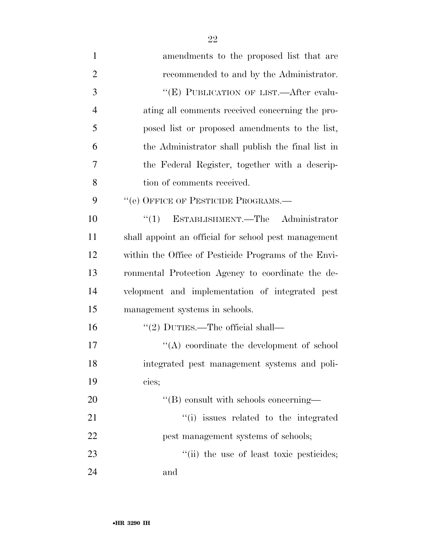| $\mathbf{1}$   | amendments to the proposed list that are             |
|----------------|------------------------------------------------------|
| $\overline{2}$ | recommended to and by the Administrator.             |
| 3              | "(E) PUBLICATION OF LIST.—After evalu-               |
| $\overline{4}$ | ating all comments received concerning the pro-      |
| 5              | posed list or proposed amendments to the list,       |
| 6              | the Administrator shall publish the final list in    |
| 7              | the Federal Register, together with a descrip-       |
| 8              | tion of comments received.                           |
| 9              | "(e) OFFICE OF PESTICIDE PROGRAMS.-                  |
| 10             | "(1) ESTABLISHMENT.—The Administrator                |
| 11             | shall appoint an official for school pest management |
| 12             | within the Office of Pesticide Programs of the Envi- |
| 13             | ronmental Protection Agency to coordinate the de-    |
| 14             | velopment and implementation of integrated pest      |
| 15             | management systems in schools.                       |
| 16             | $\lq(2)$ DUTIES.—The official shall—                 |
| 17             | $\lq\lq$ coordinate the development of school        |
| 18             | integrated pest management systems and poli-         |
| 19             | cies;                                                |
| 20             | $\lq\lq$ consult with schools concerning—            |
| 21             | "(i) issues related to the integrated                |
| 22             | pest management systems of schools;                  |
| 23             | "(ii) the use of least toxic pesticides;             |
| 24             | and                                                  |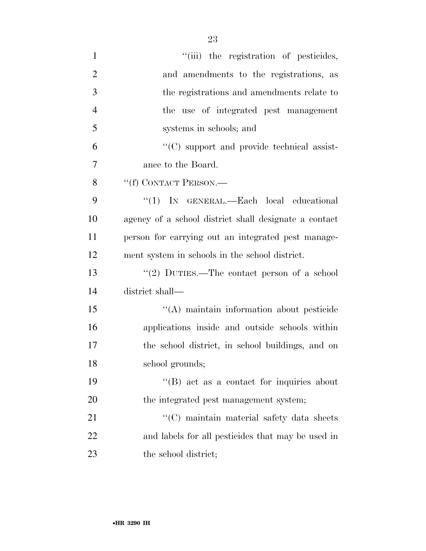| $\mathbf{1}$   | "(iii) the registration of pesticides,                |
|----------------|-------------------------------------------------------|
| $\overline{2}$ | and amendments to the registrations, as               |
| 3              | the registrations and amendments relate to            |
| $\overline{4}$ | the use of integrated pest management                 |
| 5              | systems in schools; and                               |
| 6              | $\cdot$ (C) support and provide technical assist-     |
| 7              | ance to the Board.                                    |
| 8              | "(f) CONTACT PERSON.—                                 |
| 9              | "(1) IN GENERAL.—Each local educational               |
| 10             | agency of a school district shall designate a contact |
| 11             | person for carrying out an integrated pest manage-    |
| 12             | ment system in schools in the school district.        |
| 13             | "(2) DUTIES.—The contact person of a school           |
| 14             | district shall—                                       |
| 15             | "(A) maintain information about pesticide             |
| 16             | applications inside and outside schools within        |
| 17             | the school district, in school buildings, and on      |
| 18             | school grounds;                                       |
| 19             | "(B) act as a contact for inquiries about             |
| 20             | the integrated pest management system;                |
| 21             | "(C) maintain material safety data sheets             |
| 22             | and labels for all pesticides that may be used in     |
| 23             | the school district;                                  |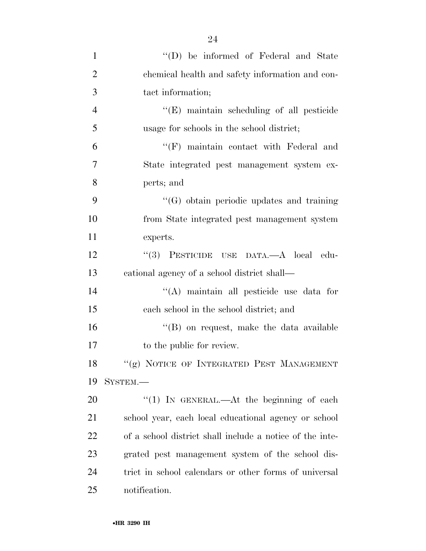| $\mathbf{1}$   | "(D) be informed of Federal and State                    |
|----------------|----------------------------------------------------------|
| $\overline{2}$ | chemical health and safety information and con-          |
| 3              | tact information;                                        |
| $\overline{4}$ | "(E) maintain scheduling of all pesticide                |
| 5              | usage for schools in the school district;                |
| 6              | $\lq\lq(F)$ maintain contact with Federal and            |
| 7              | State integrated pest management system ex-              |
| 8              | perts; and                                               |
| 9              | "(G) obtain periodic updates and training                |
| 10             | from State integrated pest management system             |
| 11             | experts.                                                 |
| 12             | "(3) PESTICIDE USE DATA.—A local edu-                    |
| 13             | cational agency of a school district shall—              |
| 14             | "(A) maintain all pesticide use data for                 |
| 15             | each school in the school district; and                  |
| 16             | $\lq\lq$ on request, make the data available             |
| 17             | to the public for review.                                |
| 18             | "(g) NOTICE OF INTEGRATED PEST MANAGEMENT                |
| 19             | SYSTEM.-                                                 |
| 20             | "(1) IN GENERAL.—At the beginning of each                |
| 21             | school year, each local educational agency or school     |
| 22             | of a school district shall include a notice of the inte- |
| 23             | grated pest management system of the school dis-         |
| 24             | trict in school calendars or other forms of universal    |
| 25             | notification.                                            |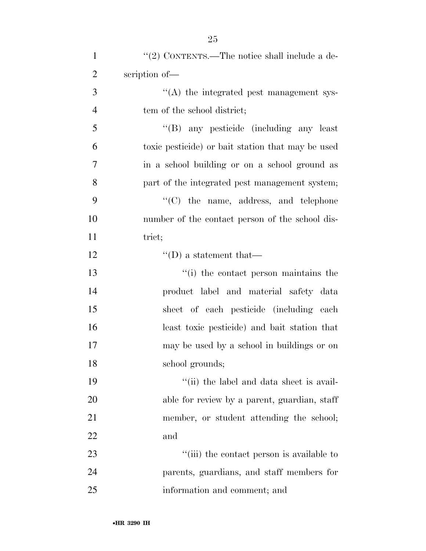| $\mathbf{1}$   | "(2) CONTENTS.—The notice shall include a de-     |
|----------------|---------------------------------------------------|
| $\overline{2}$ | scription of-                                     |
| 3              | "(A) the integrated pest management sys-          |
| $\overline{4}$ | tem of the school district;                       |
| 5              | "(B) any pesticide (including any least           |
| 6              | toxic pesticide) or bait station that may be used |
| 7              | in a school building or on a school ground as     |
| 8              | part of the integrated pest management system;    |
| 9              | "(C) the name, address, and telephone             |
| 10             | number of the contact person of the school dis-   |
| 11             | trict;                                            |
| 12             | $\lq\lq$ (D) a statement that—                    |
| 13             | "(i) the contact person maintains the             |
| 14             | product label and material safety data            |
| 15             | sheet of each pesticide (including each           |
| 16             | least toxic pesticide) and bait station that      |
| 17             | may be used by a school in buildings or on        |
| 18             | school grounds;                                   |
| 19             | "(ii) the label and data sheet is avail-          |
| 20             | able for review by a parent, guardian, staff      |
| 21             | member, or student attending the school;          |
| <u>22</u>      | and                                               |
| 23             | "(iii) the contact person is available to         |
| 24             | parents, guardians, and staff members for         |
| 25             | information and comment; and                      |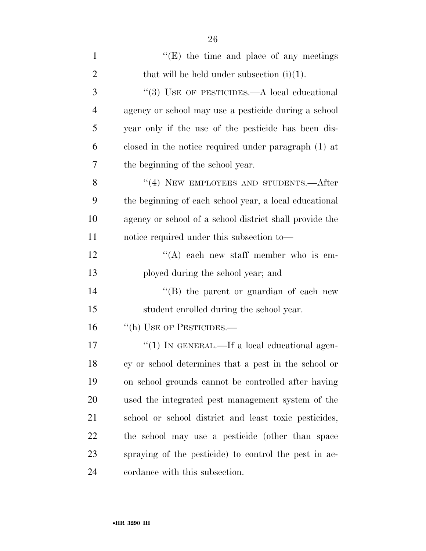| $\mathbf{1}$   | $\lq\lq(E)$ the time and place of any meetings          |
|----------------|---------------------------------------------------------|
| $\overline{2}$ | that will be held under subsection $(i)(1)$ .           |
| 3              | "(3) USE OF PESTICIDES.—A local educational             |
| $\overline{4}$ | agency or school may use a pesticide during a school    |
| 5              | year only if the use of the pesticide has been dis-     |
| 6              | closed in the notice required under paragraph (1) at    |
| 7              | the beginning of the school year.                       |
| 8              | "(4) NEW EMPLOYEES AND STUDENTS.—After                  |
| 9              | the beginning of each school year, a local educational  |
| 10             | agency or school of a school district shall provide the |
| 11             | notice required under this subsection to—               |
| 12             | $\lq\lq$ each new staff member who is em-               |
| 13             | ployed during the school year; and                      |
| 14             | $\lq\lq (B)$ the parent or guardian of each new         |
| 15             | student enrolled during the school year.                |
| 16             | "(h) USE OF PESTICIDES.—                                |
| 17             | "(1) IN GENERAL.—If a local educational agen-           |
| 18             | cy or school determines that a pest in the school or    |
| 19             | on school grounds cannot be controlled after having     |
| 20             | used the integrated pest management system of the       |
| 21             | school or school district and least toxic pesticides,   |
| 22             | the school may use a pesticide (other than space        |
| 23             | spraying of the pesticide) to control the pest in ac-   |
| 24             | cordance with this subsection.                          |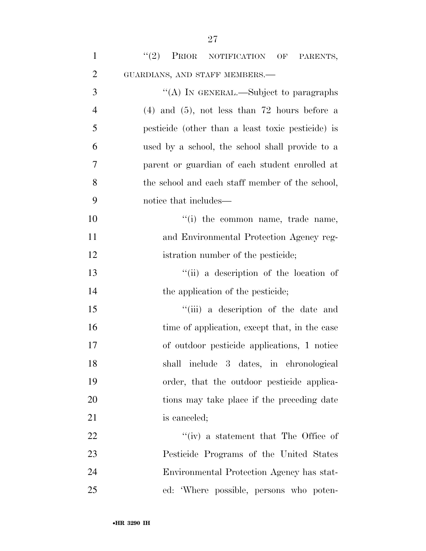| $\mathbf{1}$   | "(2) PRIOR NOTIFICATION OF<br>PARENTS,            |
|----------------|---------------------------------------------------|
| $\overline{2}$ | GUARDIANS, AND STAFF MEMBERS.-                    |
| 3              | "(A) IN GENERAL.—Subject to paragraphs            |
| $\overline{4}$ | $(4)$ and $(5)$ , not less than 72 hours before a |
| 5              | pesticide (other than a least toxic pesticide) is |
| 6              | used by a school, the school shall provide to a   |
| 7              | parent or guardian of each student enrolled at    |
| 8              | the school and each staff member of the school,   |
| 9              | notice that includes—                             |
| 10             | "(i) the common name, trade name,                 |
| 11             | and Environmental Protection Agency reg-          |
| 12             | istration number of the pesticide;                |
| 13             | "(ii) a description of the location of            |
| 14             | the application of the pesticide;                 |
| 15             | "(iii) a description of the date and              |
| 16             | time of application, except that, in the case     |
| 17             | of outdoor pesticide applications, 1 notice       |
| 18             | shall include 3 dates, in chronological           |
| 19             | order, that the outdoor pesticide applica-        |
| 20             | tions may take place if the preceding date        |
| 21             | is canceled;                                      |
| 22             | "(iv) a statement that The Office of              |
| 23             | Pesticide Programs of the United States           |
| 24             | Environmental Protection Agency has stat-         |
| 25             | ed: 'Where possible, persons who poten-           |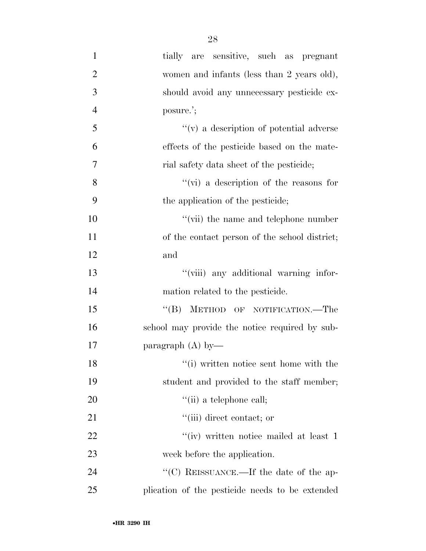| $\mathbf{1}$   | tially are sensitive, such as pregnant          |
|----------------|-------------------------------------------------|
| $\overline{2}$ | women and infants (less than 2 years old),      |
| 3              | should avoid any unnecessary pesticide ex-      |
| $\overline{4}$ | posure.';                                       |
| 5              | $f'(v)$ a description of potential adverse      |
| 6              | effects of the pesticide based on the mate-     |
| $\overline{7}$ | rial safety data sheet of the pesticide;        |
| 8              | "(vi) a description of the reasons for          |
| 9              | the application of the pesticide;               |
| 10             | "(vii) the name and telephone number            |
| 11             | of the contact person of the school district;   |
| 12             | and                                             |
| 13             | "(viii) any additional warning infor-           |
| 14             | mation related to the pesticide.                |
| 15             | "(B) METHOD OF NOTIFICATION.—The                |
| 16             | school may provide the notice required by sub-  |
| $17\,$         | paragraph $(A)$ by-                             |
| 18             | "(i) written notice sent home with the          |
| 19             | student and provided to the staff member;       |
| 20             | $``$ (ii) a telephone call;                     |
| 21             | "(iii) direct contact; or                       |
| 22             | $``(iv)$ written notice mailed at least 1       |
| 23             | week before the application.                    |
| 24             | "(C) REISSUANCE.—If the date of the ap-         |
| 25             | plication of the pesticide needs to be extended |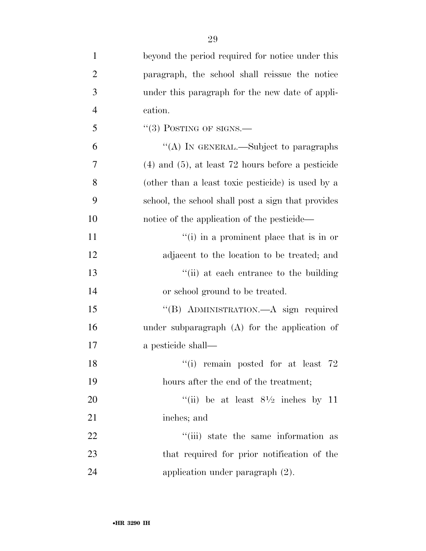| $\mathbf{1}$   | beyond the period required for notice under this       |
|----------------|--------------------------------------------------------|
| $\overline{2}$ | paragraph, the school shall reissue the notice         |
| 3              | under this paragraph for the new date of appli-        |
| $\overline{4}$ | cation.                                                |
| 5              | $``(3)$ POSTING OF SIGNS.—                             |
| 6              | "(A) IN GENERAL.—Subject to paragraphs                 |
| 7              | $(4)$ and $(5)$ , at least 72 hours before a pesticide |
| 8              | (other than a least toxic pesticide) is used by a      |
| 9              | school, the school shall post a sign that provides     |
| 10             | notice of the application of the pesticide—            |
| 11             | $f'(i)$ in a prominent place that is in or             |
| 12             | adjacent to the location to be treated; and            |
| 13             | "(ii) at each entrance to the building                 |
| 14             | or school ground to be treated.                        |
| 15             | "(B) ADMINISTRATION.—A sign required                   |
| 16             | under subparagraph $(A)$ for the application of        |
| 17             | a pesticide shall—                                     |
| 18             | "(i) remain posted for at least 72                     |
| 19             | hours after the end of the treatment;                  |
| $20\,$         | "(ii) be at least $8\frac{1}{2}$ inches by 11          |
| 21             | inches; and                                            |
| 22             | "(iii) state the same information as                   |
| 23             | that required for prior notification of the            |
| 24             | application under paragraph $(2)$ .                    |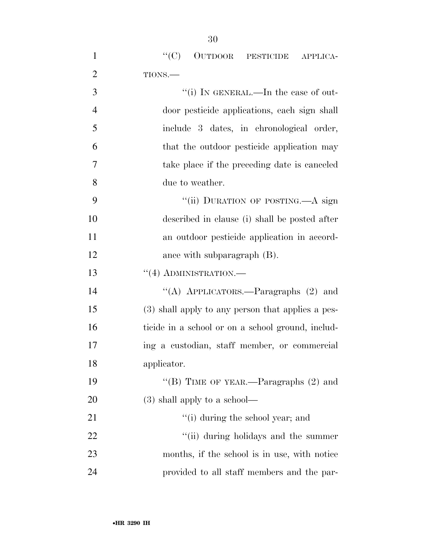| $\mathbf{1}$   | ``(C)<br>OUTDOOR PESTICIDE<br>APPLICA-            |
|----------------|---------------------------------------------------|
| $\overline{2}$ | TIONS.-                                           |
| 3              | "(i) IN GENERAL.—In the case of out-              |
| $\overline{4}$ | door pesticide applications, each sign shall      |
| 5              | include 3 dates, in chronological order,          |
| 6              | that the outdoor pesticide application may        |
| 7              | take place if the preceding date is canceled      |
| 8              | due to weather.                                   |
| 9              | "(ii) DURATION OF POSTING.—A sign                 |
| 10             | described in clause (i) shall be posted after     |
| 11             | an outdoor pesticide application in accord-       |
| 12             | ance with subparagraph $(B)$ .                    |
| 13             | $``(4)$ ADMINISTRATION.—                          |
| 14             | "(A) APPLICATORS.—Paragraphs (2) and              |
| 15             | (3) shall apply to any person that applies a pes- |
| 16             | ticide in a school or on a school ground, includ- |
| 17             | ing a custodian, staff member, or commercial      |
| 18             | applicator.                                       |
| 19             | "(B) TIME OF YEAR.—Paragraphs $(2)$ and           |
| 20             | $(3)$ shall apply to a school—                    |
| 21             | "(i) during the school year; and                  |
| 22             | "(ii) during holidays and the summer              |
| 23             | months, if the school is in use, with notice      |
| 24             | provided to all staff members and the par-        |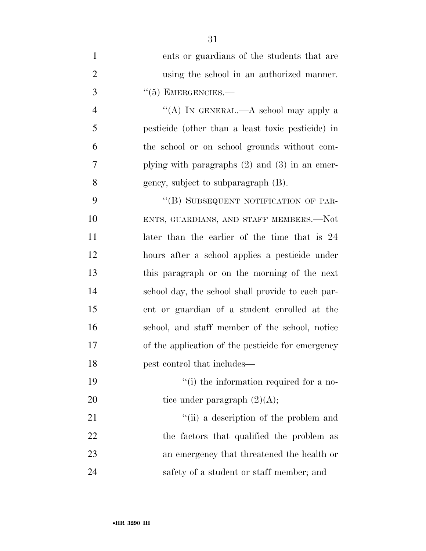| $\mathbf{1}$   | ents or guardians of the students that are         |
|----------------|----------------------------------------------------|
| $\overline{2}$ | using the school in an authorized manner.          |
| 3              | $``(5)$ EMERGENCIES.—                              |
| $\overline{4}$ | "(A) IN GENERAL.—A school may apply a              |
| 5              | pesticide (other than a least toxic pesticide) in  |
| 6              | the school or on school grounds without com-       |
| 7              | plying with paragraphs $(2)$ and $(3)$ in an emer- |
| 8              | gency, subject to subparagraph (B).                |
| 9              | "(B) SUBSEQUENT NOTIFICATION OF PAR-               |
| 10             | ENTS, GUARDIANS, AND STAFF MEMBERS.-Not            |
| 11             | later than the earlier of the time that is 24      |
| 12             | hours after a school applies a pesticide under     |
| 13             | this paragraph or on the morning of the next       |
| 14             | school day, the school shall provide to each par-  |
| 15             | ent or guardian of a student enrolled at the       |
| 16             | school, and staff member of the school, notice     |
| 17             | of the application of the pesticide for emergency  |
| 18             | pest control that includes—                        |
| 19             | "(i) the information required for a no-            |
| 20             | tice under paragraph $(2)(A);$                     |
| 21             | "(ii) a description of the problem and             |
| 22             | the factors that qualified the problem as          |
| 23             | an emergency that threatened the health or         |
| 24             | safety of a student or staff member; and           |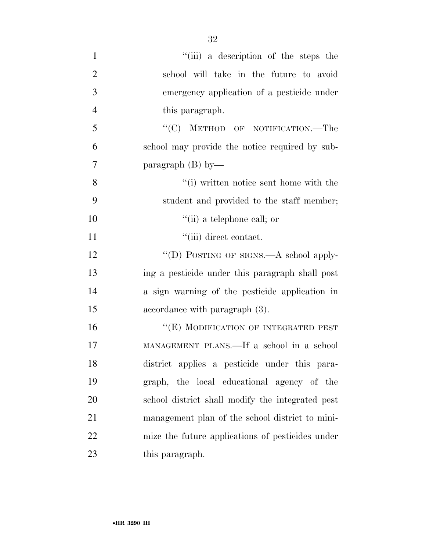| $\mathbf{1}$   | "(iii) a description of the steps the            |
|----------------|--------------------------------------------------|
| $\overline{2}$ | school will take in the future to avoid          |
| 3              | emergency application of a pesticide under       |
| $\overline{4}$ | this paragraph.                                  |
| 5              | "(C) METHOD OF NOTIFICATION.—The                 |
| 6              | school may provide the notice required by sub-   |
| 7              | paragraph $(B)$ by—                              |
| 8              | "(i) written notice sent home with the           |
| 9              | student and provided to the staff member;        |
| 10             | "(ii) a telephone call; or                       |
| 11             | "(iii) direct contact.                           |
| 12             | "(D) POSTING OF SIGNS.—A school apply-           |
| 13             | ing a pesticide under this paragraph shall post  |
| 14             | a sign warning of the pesticide application in   |
| 15             | accordance with paragraph (3).                   |
| 16             | "(E) MODIFICATION OF INTEGRATED PEST             |
| 17             | MANAGEMENT PLANS.—If a school in a school        |
| 18             | district applies a pesticide under this para-    |
| 19             | graph, the local educational agency of the       |
| 20             | school district shall modify the integrated pest |
| 21             | management plan of the school district to mini-  |
| 22             | mize the future applications of pesticides under |
| 23             | this paragraph.                                  |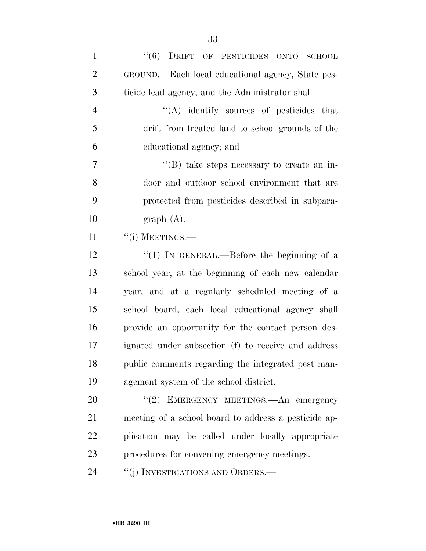| $\mathbf{1}$   | ``(6)<br>DRIFT OF PESTICIDES ONTO SCHOOL             |
|----------------|------------------------------------------------------|
| $\overline{2}$ | GROUND.—Each local educational agency, State pes-    |
| 3              | ticide lead agency, and the Administrator shall—     |
| $\overline{4}$ | "(A) identify sources of pesticides that             |
| 5              | drift from treated land to school grounds of the     |
| 6              | educational agency; and                              |
| 7              | "(B) take steps necessary to create an in-           |
| 8              | door and outdoor school environment that are         |
| 9              | protected from pesticides described in subpara-      |
| 10             | graph(A).                                            |
| 11             | $``(i)$ MEETINGS.—                                   |
| 12             | "(1) IN GENERAL.—Before the beginning of a           |
| 13             | school year, at the beginning of each new calendar   |
| 14             | year, and at a regularly scheduled meeting of a      |
| 15             | school board, each local educational agency shall    |
| 16             | provide an opportunity for the contact person des-   |
| 17             | ignated under subsection (f) to receive and address  |
| 18             | public comments regarding the integrated pest man-   |
| 19             | agement system of the school district.               |
| 20             | "(2) EMERGENCY MEETINGS. An emergency                |
| 21             | meeting of a school board to address a pesticide ap- |
| 22             | plication may be called under locally appropriate    |
| 23             | procedures for convening emergency meetings.         |
| 24             | "(j) INVESTIGATIONS AND ORDERS.—                     |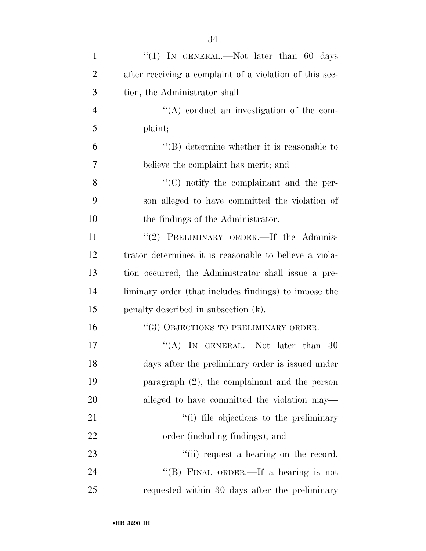| $\mathbf{1}$   | "(1) IN GENERAL.—Not later than 60 days                 |
|----------------|---------------------------------------------------------|
| $\overline{2}$ | after receiving a complaint of a violation of this sec- |
| 3              | tion, the Administrator shall—                          |
| $\overline{4}$ | $\lq\lq$ conduct an investigation of the com-           |
| 5              | plaint;                                                 |
| 6              | $\lq\lq$ determine whether it is reasonable to          |
| 7              | believe the complaint has merit; and                    |
| 8              | $\lq\lq$ (C) notify the complainant and the per-        |
| 9              | son alleged to have committed the violation of          |
| 10             | the findings of the Administrator.                      |
| 11             | "(2) PRELIMINARY ORDER.—If the Adminis-                 |
| 12             | trator determines it is reasonable to believe a viola-  |
| 13             | tion occurred, the Administrator shall issue a pre-     |
| 14             | liminary order (that includes findings) to impose the   |
| 15             | penalty described in subsection (k).                    |
| 16             | "(3) OBJECTIONS TO PRELIMINARY ORDER.-                  |
| 17             | "(A) IN GENERAL.—Not later than 30                      |
| 18             | days after the preliminary order is issued under        |
| 19             | paragraph $(2)$ , the complainant and the person        |
| 20             | alleged to have committed the violation may—            |
| 21             | "(i) file objections to the preliminary                 |
| 22             | order (including findings); and                         |
| 23             | "(ii) request a hearing on the record.                  |
| 24             | "(B) FINAL ORDER.—If a hearing is not                   |
| 25             | requested within 30 days after the preliminary          |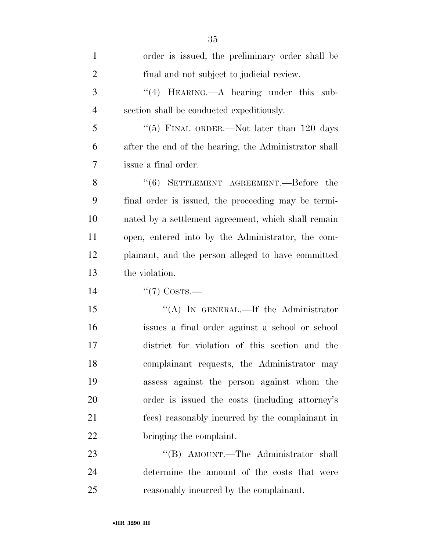| $\mathbf{1}$   | order is issued, the preliminary order shall be       |
|----------------|-------------------------------------------------------|
| $\overline{2}$ | final and not subject to judicial review.             |
| 3              | "(4) HEARING.—A hearing under this sub-               |
| $\overline{4}$ | section shall be conducted expeditiously.             |
| 5              | "(5) FINAL ORDER.—Not later than 120 days             |
| 6              | after the end of the hearing, the Administrator shall |
| 7              | issue a final order.                                  |
| 8              | $\cdot$ (6) SETTLEMENT AGREEMENT.—Before the          |
| 9              | final order is issued, the proceeding may be termi-   |
| 10             | nated by a settlement agreement, which shall remain   |
| 11             | open, entered into by the Administrator, the com-     |
| 12             | plainant, and the person alleged to have committed    |
| 13             | the violation.                                        |
| 14             | $\lq(7)$ Costs.—                                      |
|                |                                                       |
| 15             | "(A) IN GENERAL.—If the Administrator                 |
| 16             | issues a final order against a school or school       |
| 17             | district for violation of this section and the        |
| 18             | complainant requests, the Administrator may           |
| 19             | assess against the person against whom the            |
| 20             | order is issued the costs (including attorney's       |
| 21             | fees) reasonably incurred by the complainant in       |
| 22             | bringing the complaint.                               |
| 23             | "(B) AMOUNT.—The Administrator shall                  |
| 24             | determine the amount of the costs that were           |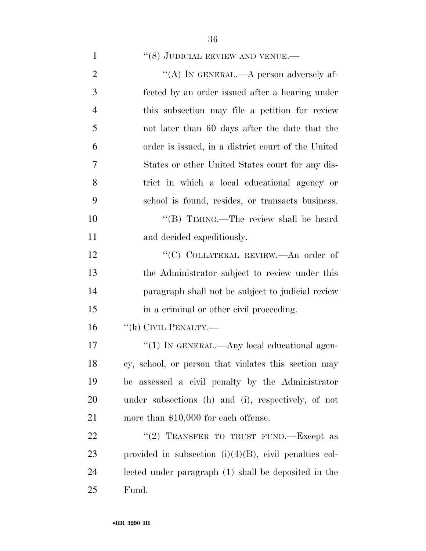# 1  $"(8)$  JUDICIAL REVIEW AND VENUE.—

| $\overline{2}$ | "(A) IN GENERAL.—A person adversely af-                   |
|----------------|-----------------------------------------------------------|
| 3              | fected by an order issued after a hearing under           |
| $\overline{4}$ | this subsection may file a petition for review            |
| 5              | not later than 60 days after the date that the            |
| 6              | order is issued, in a district court of the United        |
| 7              | States or other United States court for any dis-          |
| 8              | trict in which a local educational agency or              |
| 9              | school is found, resides, or transacts business.          |
| 10             | "(B) TIMING.—The review shall be heard                    |
| 11             | and decided expeditiously.                                |
| 12             | "(C) COLLATERAL REVIEW.—An order of                       |
| 13             | the Administrator subject to review under this            |
| 14             | paragraph shall not be subject to judicial review         |
| 15             | in a criminal or other civil proceeding.                  |
| 16             | "(k) CIVIL PENALTY.—                                      |
| 17             | $\lq(1)$ In GENERAL.—Any local educational agen-          |
| 18             | cy, school, or person that violates this section may      |
| 19             | be assessed a civil penalty by the Administrator          |
| 20             | under subsections (h) and (i), respectively, of not       |
| 21             | more than $$10,000$ for each offense.                     |
| 22             | "(2) TRANSFER TO TRUST FUND.—Except as                    |
| 23             | provided in subsection $(i)(4)(B)$ , civil penalties col- |
| 24             | lected under paragraph (1) shall be deposited in the      |
| 25             | Fund.                                                     |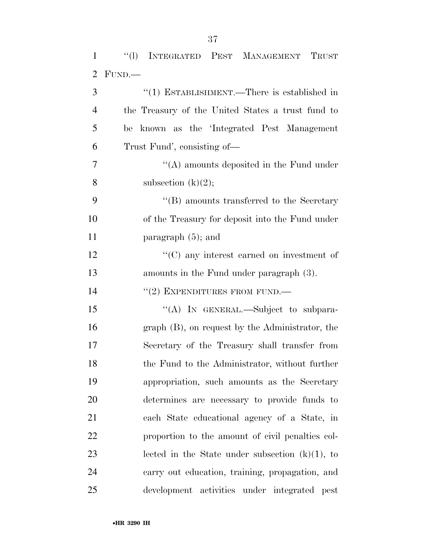| $\mathbf{1}$   | ``(1)<br>INTEGRATED PEST MANAGEMENT<br>TRUST       |
|----------------|----------------------------------------------------|
| $\overline{2}$ | FUND.                                              |
| 3              | $``(1)$ ESTABLISHMENT.—There is established in     |
| $\overline{4}$ | the Treasury of the United States a trust fund to  |
| 5              | known as the 'Integrated Pest Management<br>be     |
| 6              | Trust Fund', consisting of—                        |
| 7              | "(A) amounts deposited in the Fund under           |
| 8              | subsection $(k)(2)$ ;                              |
| 9              | $\cdot$ (B) amounts transferred to the Secretary   |
| 10             | of the Treasury for deposit into the Fund under    |
| 11             | paragraph $(5)$ ; and                              |
| 12             | $\lq\lq$ (C) any interest earned on investment of  |
| 13             | amounts in the Fund under paragraph (3).           |
| 14             | "(2) EXPENDITURES FROM FUND.—                      |
| 15             | "(A) IN GENERAL.—Subject to subpara-               |
| 16             | $graph$ (B), on request by the Administrator, the  |
| 17             | Secretary of the Treasury shall transfer from      |
| 18             | the Fund to the Administrator, without further     |
| 19             | appropriation, such amounts as the Secretary       |
| 20             | determines are necessary to provide funds to       |
| 21             | each State educational agency of a State, in       |
| 22             | proportion to the amount of civil penalties col-   |
| 23             | lected in the State under subsection $(k)(1)$ , to |
| 24             | carry out education, training, propagation, and    |
| 25             | development activities under integrated pest       |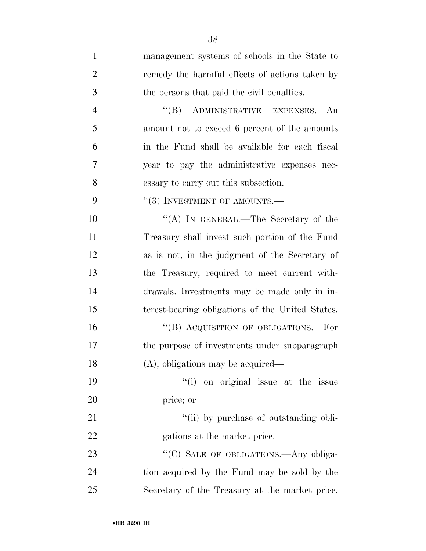| $\mathbf{1}$   | management systems of schools in the State to    |
|----------------|--------------------------------------------------|
| $\overline{2}$ | remedy the harmful effects of actions taken by   |
| 3              | the persons that paid the civil penalties.       |
| $\overline{4}$ | "(B) ADMINISTRATIVE EXPENSES.—An                 |
| 5              | amount not to exceed 6 percent of the amounts    |
| 6              | in the Fund shall be available for each fiscal   |
| 7              | year to pay the administrative expenses nec-     |
| 8              | essary to carry out this subsection.             |
| 9              | $``(3)$ INVESTMENT OF AMOUNTS.—                  |
| 10             | "(A) IN GENERAL.—The Secretary of the            |
| 11             | Treasury shall invest such portion of the Fund   |
| 12             | as is not, in the judgment of the Secretary of   |
| 13             | the Treasury, required to meet current with-     |
| 14             | drawals. Investments may be made only in in-     |
| 15             | terest-bearing obligations of the United States. |
| 16             | "(B) ACQUISITION OF OBLIGATIONS.—For             |
| 17             | the purpose of investments under subparagraph    |
| 18             | $(A)$ , obligations may be acquired—             |
| 19             | "(i) on original issue at the issue              |
| 20             | price; or                                        |
| 21             | "(ii) by purchase of outstanding obli-           |
| 22             | gations at the market price.                     |
| 23             | "(C) SALE OF OBLIGATIONS.—Any obliga-            |
| 24             | tion acquired by the Fund may be sold by the     |
| 25             | Secretary of the Treasury at the market price.   |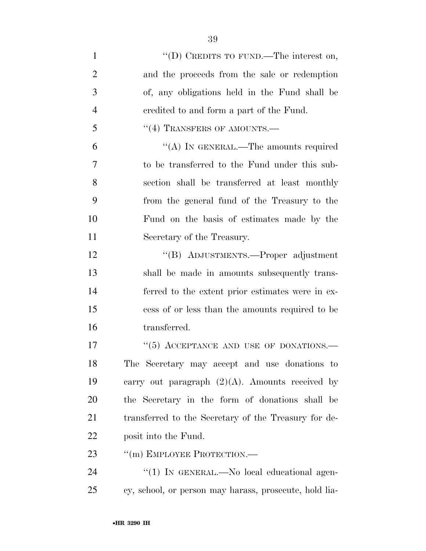| $\mathbf{1}$   | "(D) CREDITS TO FUND.—The interest on,                 |
|----------------|--------------------------------------------------------|
| $\overline{2}$ | and the proceeds from the sale or redemption           |
| 3              | of, any obligations held in the Fund shall be          |
| $\overline{4}$ | eredited to and form a part of the Fund.               |
| 5              | $\cdot$ (4) TRANSFERS OF AMOUNTS.—                     |
| 6              | "(A) IN GENERAL.—The amounts required                  |
| 7              | to be transferred to the Fund under this sub-          |
| 8              | section shall be transferred at least monthly          |
| 9              | from the general fund of the Treasury to the           |
| 10             | Fund on the basis of estimates made by the             |
| 11             | Secretary of the Treasury.                             |
| 12             | "(B) ADJUSTMENTS.—Proper adjustment                    |
| 13             | shall be made in amounts subsequently trans-           |
| 14             | ferred to the extent prior estimates were in ex-       |
| 15             | cess of or less than the amounts required to be        |
| 16             | transferred.                                           |
| 17             | "(5) ACCEPTANCE AND USE OF DONATIONS.—                 |
| 18             | The Secretary may accept and use donations to          |
| 19             | carry out paragraph $(2)(A)$ . Amounts received by     |
| <b>20</b>      | the Secretary in the form of donations shall be        |
| 21             | transferred to the Secretary of the Treasury for de-   |
| 22             | posit into the Fund.                                   |
| 23             | "(m) EMPLOYEE PROTECTION.—                             |
| 24             | "(1) IN GENERAL.—No local educational agen-            |
| 25             | cy, school, or person may harass, prosecute, hold lia- |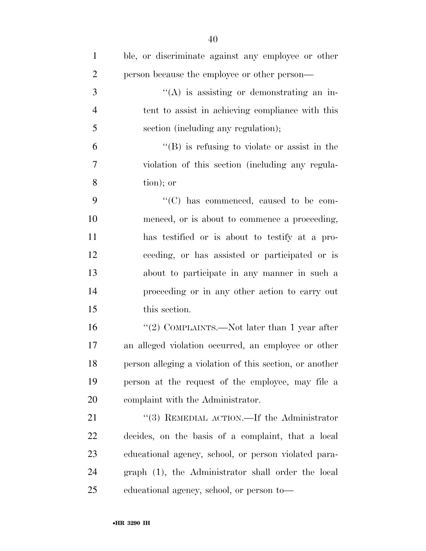| $\mathbf{1}$   | ble, or discriminate against any employee or other      |
|----------------|---------------------------------------------------------|
| $\overline{2}$ | person because the employee or other person—            |
| 3              | $\lq\lq$ is assisting or demonstrating an in-           |
| $\overline{4}$ | tent to assist in achieving compliance with this        |
| 5              | section (including any regulation);                     |
| 6              | $\lq\lq (B)$ is refusing to violate or assist in the    |
| $\overline{7}$ | violation of this section (including any regula-        |
| 8              | tion); or                                               |
| 9              | "(C) has commenced, caused to be com-                   |
| 10             | menced, or is about to commence a proceeding,           |
| 11             | has testified or is about to testify at a pro-          |
| 12             | ceeding, or has assisted or participated or is          |
| 13             | about to participate in any manner in such a            |
| 14             | proceeding or in any other action to carry out          |
| 15             | this section.                                           |
| 16             | "(2) COMPLAINTS.—Not later than 1 year after            |
| 17             | an alleged violation occurred, an employee or other     |
| 18             | person alleging a violation of this section, or another |
| 19             | person at the request of the employee, may file a       |
| 20             | complaint with the Administrator.                       |
| 21             | "(3) REMEDIAL ACTION.—If the Administrator              |
| 22             | decides, on the basis of a complaint, that a local      |
| 23             | educational agency, school, or person violated para-    |
| 24             | graph (1), the Administrator shall order the local      |
| 25             | educational agency, school, or person to—               |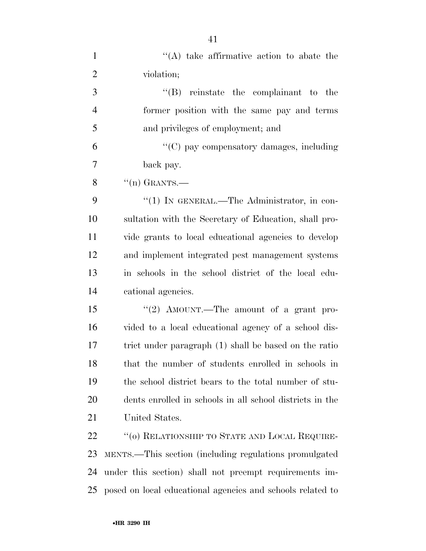| $\mathbf{1}$   | "(A) take affirmative action to abate the                  |
|----------------|------------------------------------------------------------|
| $\overline{2}$ | violation;                                                 |
| 3              | $\lq\lq(B)$ reinstate the complainant to the               |
| $\overline{4}$ | former position with the same pay and terms                |
| 5              | and privileges of employment; and                          |
| 6              | $\lq\lq$ (C) pay compensatory damages, including           |
| 7              | back pay.                                                  |
| 8              | $\lq($ n) GRANTS.—                                         |
| 9              | "(1) IN GENERAL.—The Administrator, in con-                |
| 10             | sultation with the Secretary of Education, shall pro-      |
| 11             | vide grants to local educational agencies to develop       |
| 12             | and implement integrated pest management systems           |
| 13             | in schools in the school district of the local edu-        |
| 14             | cational agencies.                                         |
| 15             | "(2) AMOUNT.—The amount of a grant pro-                    |
| 16             | vided to a local educational agency of a school dis-       |
| 17             | trict under paragraph (1) shall be based on the ratio      |
| 18             | that the number of students enrolled in schools in         |
| 19             | the school district bears to the total number of stu-      |
| 20             | dents enrolled in schools in all school districts in the   |
| 21             | United States.                                             |
| 22             | "(0) RELATIONSHIP TO STATE AND LOCAL REQUIRE-              |
| 23             | MENTS.—This section (including regulations promulgated     |
| 24             | under this section) shall not preempt requirements im-     |
| 25             | posed on local educational agencies and schools related to |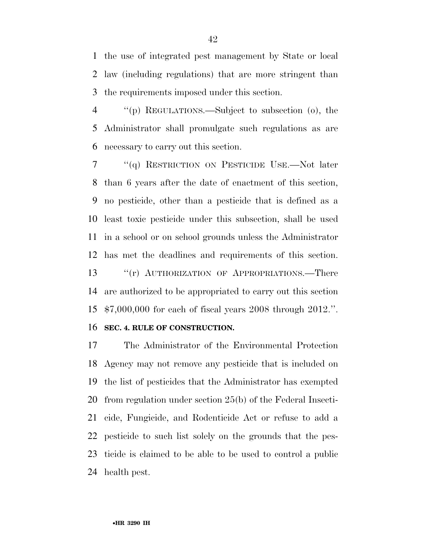the use of integrated pest management by State or local law (including regulations) that are more stringent than the requirements imposed under this section.

 ''(p) REGULATIONS.—Subject to subsection (o), the Administrator shall promulgate such regulations as are necessary to carry out this section.

 ''(q) RESTRICTION ON PESTICIDE USE.—Not later than 6 years after the date of enactment of this section, no pesticide, other than a pesticide that is defined as a least toxic pesticide under this subsection, shall be used in a school or on school grounds unless the Administrator has met the deadlines and requirements of this section. 13 ""(r) AUTHORIZATION OF APPROPRIATIONS.—There are authorized to be appropriated to carry out this section \$7,000,000 for each of fiscal years 2008 through 2012.''. **SEC. 4. RULE OF CONSTRUCTION.** 

 The Administrator of the Environmental Protection Agency may not remove any pesticide that is included on the list of pesticides that the Administrator has exempted from regulation under section 25(b) of the Federal Insecti- cide, Fungicide, and Rodenticide Act or refuse to add a pesticide to such list solely on the grounds that the pes- ticide is claimed to be able to be used to control a public health pest.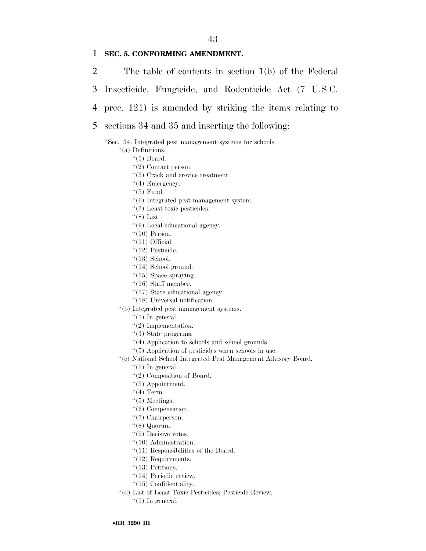#### 1 **SEC. 5. CONFORMING AMENDMENT.**

2 The table of contents in section 1(b) of the Federal

3 Insecticide, Fungicide, and Rodenticide Act (7 U.S.C.

4 prec. 121) is amended by striking the items relating to

#### 5 sections 34 and 35 and inserting the following:

- ''Sec. 34. Integrated pest management systems for schools.
	- ''(a) Definitions.
		- ''(1) Board.
		- ''(2) Contact person.
		- ''(3) Crack and crevice treatment.
		- "(4) Emergency.
		- ''(5) Fund.
		- ''(6) Integrated pest management system.
		- ''(7) Least toxic pesticides.
		- $\lq(8)$  List.
		- ''(9) Local educational agency.
		- ''(10) Person.
		- $"$ (11) Official.
		- ''(12) Pesticide.
		- ''(13) School.
		- ''(14) School ground.
		- ''(15) Space spraying.
		- $"(16)$  Staff member.
		- ''(17) State educational agency.
		- ''(18) Universal notification.
	- ''(b) Integrated pest management systems.
		- $"(1)$  In general.
		- ''(2) Implementation.
		- ''(3) State programs.
		- ''(4) Application to schools and school grounds.
		- ''(5) Application of pesticides when schools in use.
	- ''(c) National School Integrated Pest Management Advisory Board.
		- $''(1)$  In general.
		- ''(2) Composition of Board.
		- ''(3) Appointment.
		- $``(4)$  Term.
		- ''(5) Meetings.
		- ''(6) Compensation.
		- "(7) Chairperson.
		- ''(8) Quorum.
		- ''(9) Decisive votes.
		- ''(10) Administration.
		- ''(11) Responsibilities of the Board.
		- ''(12) Requirements.
		- "(13) Petitions.
		- ''(14) Periodic review.
		- ''(15) Confidentiality.
	- ''(d) List of Least Toxic Pesticides; Pesticide Review.
		- $''(1)$  In general.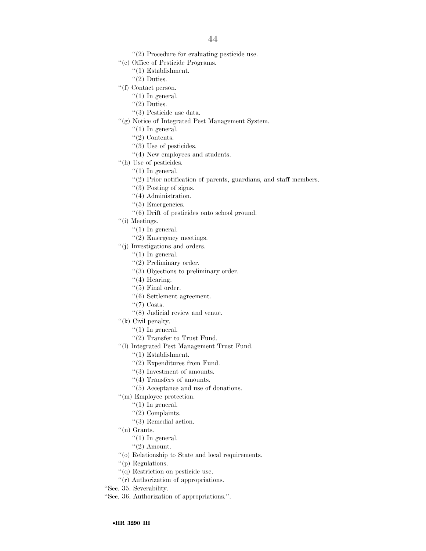- ''(2) Procedure for evaluating pesticide use.
- ''(e) Office of Pesticide Programs.
	- ''(1) Establishment.
	- ''(2) Duties.
- "(f) Contact person.
	- $''(1)$  In general.
		- $''(2)$  Duties.
		- ''(3) Pesticide use data.
- ''(g) Notice of Integrated Pest Management System.
	- " $(1)$  In general.
	- ''(2) Contents.
	- ''(3) Use of pesticides.
	- ''(4) New employees and students.
- ''(h) Use of pesticides.
	- $''(1)$  In general.
	- ''(2) Prior notification of parents, guardians, and staff members.
	- ''(3) Posting of signs.
	- ''(4) Administration.
	- "(5) Emergencies.
	- ''(6) Drift of pesticides onto school ground.
- ''(i) Meetings.
	- $''(1)$  In general.
	- ''(2) Emergency meetings.
- ''(j) Investigations and orders.
	- $''(1)$  In general.
	- ''(2) Preliminary order.
	- ''(3) Objections to preliminary order.
	- $''(4)$  Hearing.
	- $``(5)$  Final order.
	- ''(6) Settlement agreement.
	- $``(7)$  Costs.
	- ''(8) Judicial review and venue.
- $f'(k)$  Civil penalty.
	- $"(1)$  In general.
	- ''(2) Transfer to Trust Fund.
- ''(l) Integrated Pest Management Trust Fund.
	- ''(1) Establishment.
	- ''(2) Expenditures from Fund.
	- ''(3) Investment of amounts.
	- ''(4) Transfers of amounts.
	- ''(5) Acceptance and use of donations.
- ''(m) Employee protection.
	- " $(1)$  In general.
	- ''(2) Complaints.
	- ''(3) Remedial action.
- ''(n) Grants.
	- $''(1)$  In general.
	- $''(2)$  Amount.
- ''(o) Relationship to State and local requirements.
- ''(p) Regulations.
- ''(q) Restriction on pesticide use.
- ''(r) Authorization of appropriations.
- ''Sec. 35. Severability.
- ''Sec. 36. Authorization of appropriations.''.